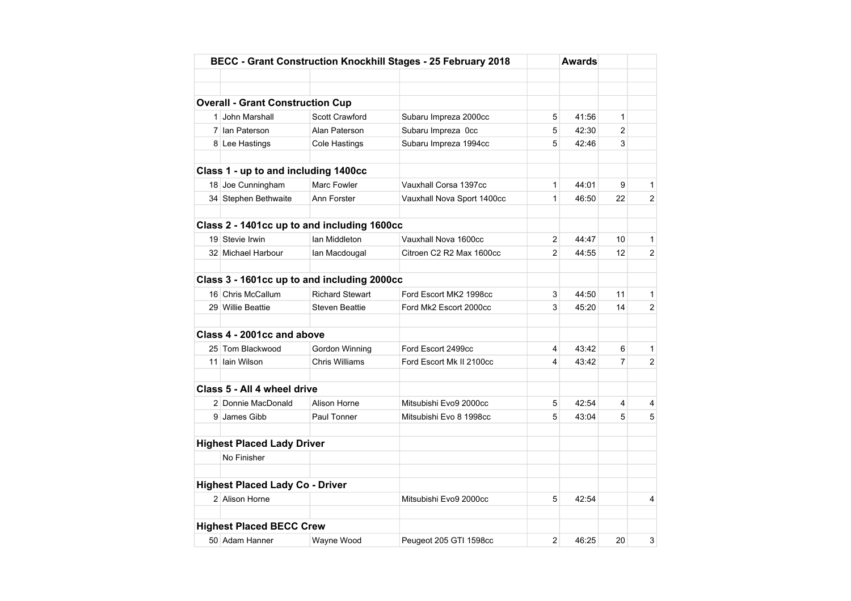|                                         |                                             | BECC - Grant Construction Knockhill Stages - 25 February 2018 |                | Awards |                |                |
|-----------------------------------------|---------------------------------------------|---------------------------------------------------------------|----------------|--------|----------------|----------------|
|                                         |                                             |                                                               |                |        |                |                |
|                                         |                                             |                                                               |                |        |                |                |
| <b>Overall - Grant Construction Cup</b> |                                             |                                                               |                |        |                |                |
| 1 John Marshall                         | <b>Scott Crawford</b>                       | Subaru Impreza 2000cc                                         | 5              | 41:56  | $\mathbf{1}$   |                |
| 7 Ian Paterson                          | Alan Paterson                               | Subaru Impreza Occ                                            | 5              | 42:30  | $\overline{2}$ |                |
| 8 Lee Hastings                          | Cole Hastings                               | Subaru Impreza 1994cc                                         | 5              | 42:46  | 3              |                |
|                                         |                                             |                                                               |                |        |                |                |
| Class 1 - up to and including 1400cc    |                                             |                                                               |                |        |                |                |
| 18 Joe Cunningham                       | Marc Fowler                                 | Vauxhall Corsa 1397cc                                         | $\mathbf{1}$   | 44:01  | 9              | 1              |
| 34 Stephen Bethwaite                    | Ann Forster                                 | Vauxhall Nova Sport 1400cc                                    | $\mathbf{1}$   | 46:50  | 22             | 2              |
|                                         | Class 2 - 1401cc up to and including 1600cc |                                                               |                |        |                |                |
| 19 Stevie Irwin                         | lan Middleton                               | Vauxhall Nova 1600cc                                          | $\overline{2}$ | 44:47  | 10             | 1              |
| 32 Michael Harbour                      | lan Macdougal                               | Citroen C2 R2 Max 1600cc                                      | $\overline{2}$ | 44:55  | 12             | $\overline{2}$ |
|                                         |                                             |                                                               |                |        |                |                |
|                                         | Class 3 - 1601cc up to and including 2000cc |                                                               |                |        |                |                |
| 16 Chris McCallum                       | <b>Richard Stewart</b>                      | Ford Escort MK2 1998cc                                        | 3              | 44:50  | 11             | 1              |
| 29 Willie Beattie                       | <b>Steven Beattie</b>                       | Ford Mk2 Escort 2000cc                                        | 3              | 45:20  | 14             | $\overline{2}$ |
| Class 4 - 2001cc and above              |                                             |                                                               |                |        |                |                |
| 25 Tom Blackwood                        | Gordon Winning                              | Ford Escort 2499cc                                            | 4              | 43:42  | 6              | $\mathbf{1}$   |
| 11 Iain Wilson                          | <b>Chris Williams</b>                       | Ford Escort Mk II 2100cc                                      | 4              | 43:42  | $\overline{7}$ | 2              |
|                                         |                                             |                                                               |                |        |                |                |
| Class 5 - All 4 wheel drive             |                                             |                                                               |                |        |                |                |
| 2 Donnie MacDonald                      | Alison Horne                                | Mitsubishi Evo9 2000cc                                        | 5              | 42:54  | 4              | 4              |
| 9 James Gibb                            | Paul Tonner                                 | Mitsubishi Evo 8 1998cc                                       | 5              | 43:04  | 5              | 5              |
| <b>Highest Placed Lady Driver</b>       |                                             |                                                               |                |        |                |                |
| No Finisher                             |                                             |                                                               |                |        |                |                |
|                                         |                                             |                                                               |                |        |                |                |
| <b>Highest Placed Lady Co - Driver</b>  |                                             |                                                               |                |        |                |                |
| 2 Alison Horne                          |                                             | Mitsubishi Evo9 2000cc                                        | 5              | 42:54  |                | 4              |
| <b>Highest Placed BECC Crew</b>         |                                             |                                                               |                |        |                |                |
| 50 Adam Hanner                          | Wayne Wood                                  | Peugeot 205 GTI 1598cc                                        | $\overline{2}$ | 46:25  | 20             | 3              |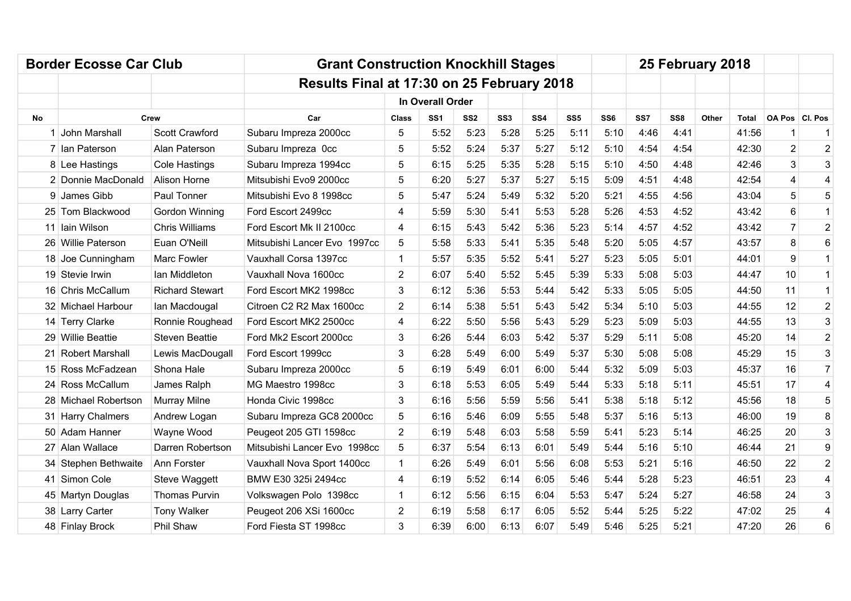|     | <b>Border Ecosse Car Club</b> |                        | <b>Grant Construction Knockhill Stages</b> |                |                  |                 |                 |      |                 |      |      |      | 25 February 2018 |       |                |                |
|-----|-------------------------------|------------------------|--------------------------------------------|----------------|------------------|-----------------|-----------------|------|-----------------|------|------|------|------------------|-------|----------------|----------------|
|     |                               |                        | Results Final at 17:30 on 25 February 2018 |                |                  |                 |                 |      |                 |      |      |      |                  |       |                |                |
|     |                               |                        |                                            |                | In Overall Order |                 |                 |      |                 |      |      |      |                  |       |                |                |
| No. | Crew                          |                        | Car                                        | <b>Class</b>   | SS <sub>1</sub>  | SS <sub>2</sub> | SS <sub>3</sub> | SS4  | SS <sub>5</sub> | SS6  | SS7  | SS8  | Other            | Total | OA Pos CI. Pos |                |
|     | 1 John Marshall               | Scott Crawford         | Subaru Impreza 2000cc                      | 5              | 5:52             | 5:23            | 5:28            | 5:25 | 5:11            | 5:10 | 4:46 | 4:41 |                  | 41:56 | 1              | $\mathbf{1}$   |
|     | 7 Ian Paterson                | Alan Paterson          | Subaru Impreza Occ                         | 5              | 5:52             | 5:24            | 5:37            | 5:27 | 5:12            | 5:10 | 4:54 | 4:54 |                  | 42:30 | $\overline{2}$ | $\overline{2}$ |
|     | 8 Lee Hastings                | Cole Hastings          | Subaru Impreza 1994cc                      | 5              | 6:15             | 5:25            | 5:35            | 5:28 | 5:15            | 5:10 | 4:50 | 4:48 |                  | 42:46 | 3              | 3              |
|     | 2 Donnie MacDonald            | <b>Alison Horne</b>    | Mitsubishi Evo9 2000cc                     | 5              | 6:20             | 5:27            | 5:37            | 5:27 | 5:15            | 5:09 | 4:51 | 4:48 |                  | 42:54 | 4              | 4              |
|     | 9 James Gibb                  | Paul Tonner            | Mitsubishi Evo 8 1998cc                    | 5              | 5:47             | 5:24            | 5:49            | 5:32 | 5:20            | 5:21 | 4:55 | 4:56 |                  | 43:04 | 5              | 5              |
|     | 25 Tom Blackwood              | Gordon Winning         | Ford Escort 2499cc                         | 4              | 5:59             | 5:30            | 5:41            | 5:53 | 5:28            | 5:26 | 4:53 | 4:52 |                  | 43:42 | 6              | $\mathbf{1}$   |
|     | 11 Iain Wilson                | <b>Chris Williams</b>  | Ford Escort Mk II 2100cc                   | 4              | 6:15             | 5:43            | 5:42            | 5:36 | 5:23            | 5:14 | 4:57 | 4:52 |                  | 43:42 | $\overline{7}$ | $\overline{2}$ |
|     | 26 Willie Paterson            | Euan O'Neill           | Mitsubishi Lancer Evo 1997cc               | 5              | 5:58             | 5:33            | 5:41            | 5:35 | 5:48            | 5:20 | 5:05 | 4:57 |                  | 43:57 | 8              | 6              |
|     | 18 Joe Cunningham             | Marc Fowler            | Vauxhall Corsa 1397cc                      | 1              | 5:57             | 5:35            | 5:52            | 5:41 | 5:27            | 5:23 | 5:05 | 5:01 |                  | 44:01 | 9              | $\mathbf{1}$   |
|     | 19 Stevie Irwin               | lan Middleton          | Vauxhall Nova 1600cc                       | $\overline{2}$ | 6:07             | 5:40            | 5:52            | 5:45 | 5:39            | 5:33 | 5:08 | 5:03 |                  | 44:47 | 10             | $\mathbf{1}$   |
|     | 16 Chris McCallum             | <b>Richard Stewart</b> | Ford Escort MK2 1998cc                     | 3              | 6:12             | 5:36            | 5:53            | 5:44 | 5:42            | 5:33 | 5:05 | 5:05 |                  | 44:50 | 11             | $\mathbf{1}$   |
|     | 32 Michael Harbour            | lan Macdougal          | Citroen C2 R2 Max 1600cc                   | $\overline{2}$ | 6:14             | 5:38            | 5:51            | 5:43 | 5:42            | 5:34 | 5:10 | 5:03 |                  | 44:55 | 12             | $\overline{2}$ |
|     | 14 Terry Clarke               | Ronnie Roughead        | Ford Escort MK2 2500cc                     | 4              | 6:22             | 5:50            | 5:56            | 5:43 | 5:29            | 5:23 | 5:09 | 5:03 |                  | 44:55 | 13             | 3              |
|     | 29 Willie Beattie             | <b>Steven Beattie</b>  | Ford Mk2 Escort 2000cc                     | 3              | 6:26             | 5:44            | 6:03            | 5:42 | 5:37            | 5:29 | 5:11 | 5:08 |                  | 45:20 | 14             | $\overline{2}$ |
|     | 21 Robert Marshall            | Lewis MacDougall       | Ford Escort 1999cc                         | 3              | 6:28             | 5:49            | 6:00            | 5:49 | 5:37            | 5:30 | 5:08 | 5:08 |                  | 45:29 | 15             | 3              |
|     | 15 Ross McFadzean             | Shona Hale             | Subaru Impreza 2000cc                      | 5              | 6:19             | 5:49            | 6:01            | 6:00 | 5:44            | 5:32 | 5:09 | 5:03 |                  | 45:37 | 16             | $\overline{7}$ |
|     | 24 Ross McCallum              | James Ralph            | MG Maestro 1998cc                          | 3              | 6:18             | 5:53            | 6:05            | 5:49 | 5:44            | 5:33 | 5:18 | 5:11 |                  | 45:51 | 17             | 4              |
|     | 28 Michael Robertson          | Murray Milne           | Honda Civic 1998cc                         | 3              | 6:16             | 5:56            | 5:59            | 5:56 | 5:41            | 5:38 | 5:18 | 5:12 |                  | 45:56 | 18             | 5              |
|     | 31 Harry Chalmers             | Andrew Logan           | Subaru Impreza GC8 2000cc                  | 5              | 6:16             | 5:46            | 6:09            | 5:55 | 5:48            | 5:37 | 5:16 | 5:13 |                  | 46:00 | 19             | 8              |
|     | 50 Adam Hanner                | Wayne Wood             | Peugeot 205 GTI 1598cc                     | $\overline{2}$ | 6:19             | 5:48            | 6:03            | 5:58 | 5:59            | 5:41 | 5:23 | 5:14 |                  | 46:25 | 20             | 3              |
|     | 27 Alan Wallace               | Darren Robertson       | Mitsubishi Lancer Evo 1998cc               | 5              | 6:37             | 5:54            | 6:13            | 6:01 | 5:49            | 5:44 | 5:16 | 5:10 |                  | 46:44 | 21             | 9              |
|     | 34 Stephen Bethwaite          | Ann Forster            | Vauxhall Nova Sport 1400cc                 | $\mathbf{1}$   | 6:26             | 5:49            | 6:01            | 5:56 | 6:08            | 5:53 | 5:21 | 5:16 |                  | 46:50 | 22             | $\overline{2}$ |
|     | 41 Simon Cole                 | Steve Waggett          | BMW E30 325i 2494cc                        | 4              | 6:19             | 5:52            | 6:14            | 6:05 | 5:46            | 5:44 | 5:28 | 5:23 |                  | 46:51 | 23             | 4              |
|     | 45 Martyn Douglas             | <b>Thomas Purvin</b>   | Volkswagen Polo 1398cc                     | 1              | 6:12             | 5:56            | 6:15            | 6:04 | 5:53            | 5:47 | 5:24 | 5:27 |                  | 46:58 | 24             | 3              |
|     | 38 Larry Carter               | <b>Tony Walker</b>     | Peugeot 206 XSi 1600cc                     | 2              | 6:19             | 5:58            | 6:17            | 6:05 | 5:52            | 5:44 | 5:25 | 5:22 |                  | 47:02 | 25             | 4              |
|     | 48 Finlay Brock               | Phil Shaw              | Ford Fiesta ST 1998cc                      | 3              | 6:39             | 6:00            | 6:13            | 6:07 | 5:49            | 5:46 | 5:25 | 5:21 |                  | 47:20 | 26             | 6              |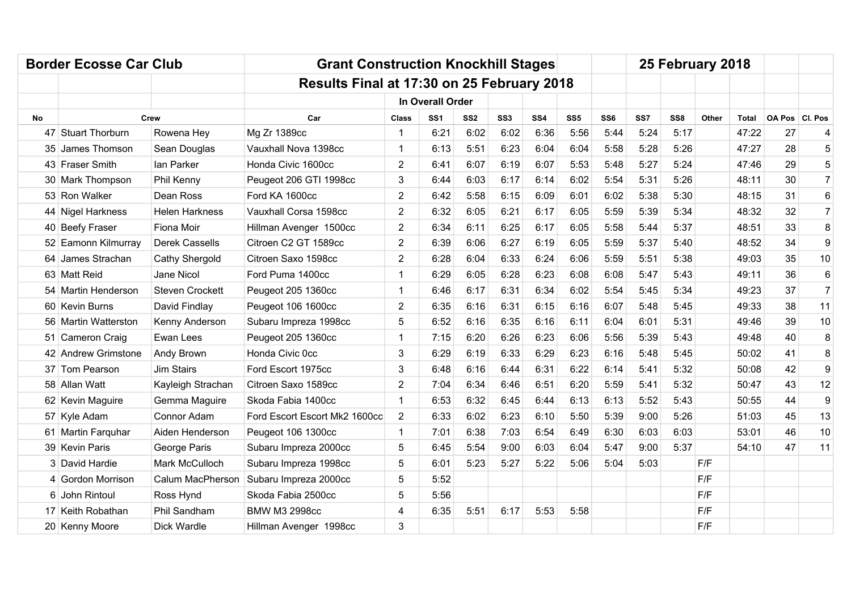|           | <b>Border Ecosse Car Club</b> |                        | <b>Grant Construction Knockhill Stages</b> |                |                  |                 |                 |                 |                 |                 |      | 25 February 2018 |       |       |                  |                |
|-----------|-------------------------------|------------------------|--------------------------------------------|----------------|------------------|-----------------|-----------------|-----------------|-----------------|-----------------|------|------------------|-------|-------|------------------|----------------|
|           |                               |                        | Results Final at 17:30 on 25 February 2018 |                |                  |                 |                 |                 |                 |                 |      |                  |       |       |                  |                |
|           |                               |                        |                                            |                | In Overall Order |                 |                 |                 |                 |                 |      |                  |       |       |                  |                |
| <b>No</b> |                               | Crew                   | Car                                        | <b>Class</b>   | SS <sub>1</sub>  | SS <sub>2</sub> | SS <sub>3</sub> | SS <sub>4</sub> | SS <sub>5</sub> | SS <sub>6</sub> | SS7  | SS <sub>8</sub>  | Other | Total | OA Pos   Cl. Pos |                |
|           | 47 Stuart Thorburn            | Rowena Hey             | Mg Zr 1389cc                               | 1              | 6:21             | 6:02            | 6:02            | 6:36            | 5:56            | 5:44            | 5:24 | 5:17             |       | 47:22 | 27               | 4              |
|           | 35 James Thomson              | Sean Douglas           | Vauxhall Nova 1398cc                       | 1              | 6:13             | 5:51            | 6:23            | 6:04            | 6:04            | 5:58            | 5:28 | 5:26             |       | 47:27 | 28               | 5              |
|           | 43 Fraser Smith               | lan Parker             | Honda Civic 1600cc                         | $\overline{2}$ | 6:41             | 6:07            | 6:19            | 6:07            | 5:53            | 5:48            | 5:27 | 5:24             |       | 47:46 | 29               | 5              |
|           | 30 Mark Thompson              | Phil Kenny             | Peugeot 206 GTI 1998cc                     | 3              | 6:44             | 6:03            | 6:17            | 6:14            | 6:02            | 5:54            | 5:31 | 5:26             |       | 48:11 | 30               | $\overline{7}$ |
|           | 53 Ron Walker                 | Dean Ross              | Ford KA 1600cc                             | $\overline{2}$ | 6:42             | 5:58            | 6:15            | 6:09            | 6:01            | 6:02            | 5:38 | 5:30             |       | 48:15 | 31               | 6              |
|           | 44 Nigel Harkness             | <b>Helen Harkness</b>  | Vauxhall Corsa 1598cc                      | $\overline{2}$ | 6:32             | 6:05            | 6:21            | 6:17            | 6:05            | 5:59            | 5:39 | 5:34             |       | 48:32 | 32               | $\overline{7}$ |
|           | 40 Beefy Fraser               | Fiona Moir             | Hillman Avenger 1500cc                     | $\overline{2}$ | 6:34             | 6:11            | 6:25            | 6:17            | 6:05            | 5:58            | 5:44 | 5:37             |       | 48:51 | 33               | 8              |
|           | 52 Eamonn Kilmurray           | <b>Derek Cassells</b>  | Citroen C2 GT 1589cc                       | $\overline{2}$ | 6:39             | 6:06            | 6:27            | 6:19            | 6:05            | 5:59            | 5:37 | 5:40             |       | 48:52 | 34               | 9              |
|           | 64 James Strachan             | Cathy Shergold         | Citroen Saxo 1598cc                        | $\overline{2}$ | 6:28             | 6:04            | 6:33            | 6:24            | 6:06            | 5:59            | 5:51 | 5:38             |       | 49:03 | 35               | 10             |
|           | 63 Matt Reid                  | Jane Nicol             | Ford Puma 1400cc                           | 1              | 6:29             | 6:05            | 6:28            | 6:23            | 6:08            | 6:08            | 5:47 | 5:43             |       | 49:11 | 36               | 6              |
|           | 54   Martin Henderson         | <b>Steven Crockett</b> | Peugeot 205 1360cc                         | 1              | 6:46             | 6:17            | 6:31            | 6:34            | 6:02            | 5:54            | 5:45 | 5:34             |       | 49:23 | 37               | $\overline{7}$ |
|           | 60 Kevin Burns                | David Findlay          | Peugeot 106 1600cc                         | $\overline{2}$ | 6:35             | 6:16            | 6:31            | 6:15            | 6:16            | 6:07            | 5:48 | 5:45             |       | 49:33 | 38               | 11             |
|           | 56 Martin Watterston          | Kenny Anderson         | Subaru Impreza 1998cc                      | 5              | 6:52             | 6:16            | 6:35            | 6:16            | 6:11            | 6:04            | 6:01 | 5:31             |       | 49:46 | 39               | 10             |
|           | 51 Cameron Craig              | Ewan Lees              | Peugeot 205 1360cc                         | 1              | 7:15             | 6:20            | 6:26            | 6:23            | 6:06            | 5:56            | 5:39 | 5:43             |       | 49:48 | 40               | 8              |
|           | 42 Andrew Grimstone           | Andy Brown             | Honda Civic 0cc                            | 3              | 6:29             | 6:19            | 6:33            | 6:29            | 6:23            | 6:16            | 5:48 | 5:45             |       | 50:02 | 41               | 8              |
|           | 37 Tom Pearson                | <b>Jim Stairs</b>      | Ford Escort 1975cc                         | 3              | 6:48             | 6:16            | 6:44            | 6:31            | 6:22            | 6:14            | 5:41 | 5:32             |       | 50:08 | 42               | 9              |
|           | 58 Allan Watt                 | Kayleigh Strachan      | Citroen Saxo 1589cc                        | $\overline{2}$ | 7:04             | 6:34            | 6:46            | 6:51            | 6:20            | 5:59            | 5:41 | 5:32             |       | 50:47 | 43               | 12             |
|           | 62 Kevin Maguire              | Gemma Maguire          | Skoda Fabia 1400cc                         |                | 6:53             | 6:32            | 6:45            | 6:44            | 6:13            | 6:13            | 5:52 | 5:43             |       | 50:55 | 44               | 9              |
|           | 57 Kyle Adam                  | Connor Adam            | Ford Escort Escort Mk2 1600cc              | $\overline{2}$ | 6:33             | 6:02            | 6:23            | 6:10            | 5:50            | 5:39            | 9:00 | 5:26             |       | 51:03 | 45               | 13             |
|           | 61 Martin Farquhar            | Aiden Henderson        | Peugeot 106 1300cc                         | 1              | 7:01             | 6:38            | 7:03            | 6:54            | 6:49            | 6:30            | 6:03 | 6:03             |       | 53:01 | 46               | 10             |
|           | 39 Kevin Paris                | George Paris           | Subaru Impreza 2000cc                      | 5              | 6:45             | 5:54            | 9:00            | 6:03            | 6:04            | 5:47            | 9:00 | 5:37             |       | 54:10 | 47               | 11             |
|           | 3 David Hardie                | Mark McCulloch         | Subaru Impreza 1998cc                      | 5              | 6:01             | 5:23            | 5:27            | 5:22            | 5:06            | 5:04            | 5:03 |                  | F/F   |       |                  |                |
|           | 4 Gordon Morrison             | Calum MacPherson       | Subaru Impreza 2000cc                      | 5              | 5:52             |                 |                 |                 |                 |                 |      |                  | F/F   |       |                  |                |
|           | 6 John Rintoul                | Ross Hynd              | Skoda Fabia 2500cc                         | 5              | 5:56             |                 |                 |                 |                 |                 |      |                  | F/F   |       |                  |                |
|           | 17 Keith Robathan             | Phil Sandham           | <b>BMW M3 2998cc</b>                       | 4              | 6:35             | 5:51            | 6:17            | 5:53            | 5:58            |                 |      |                  | F/F   |       |                  |                |
|           | 20 Kenny Moore                | Dick Wardle            | Hillman Avenger 1998cc                     | 3              |                  |                 |                 |                 |                 |                 |      |                  | F/F   |       |                  |                |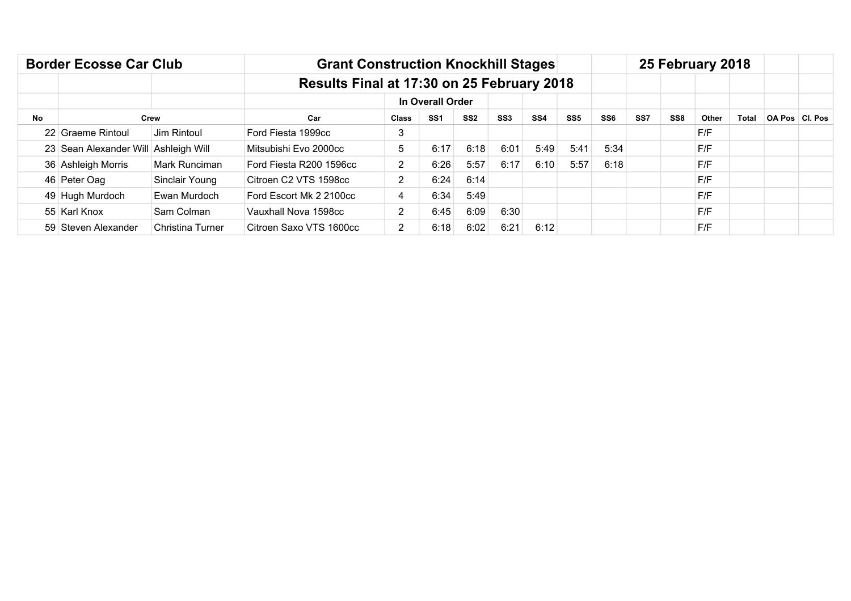|           | <b>Border Ecosse Car Club</b>        |                  | <b>Grant Construction Knockhill Stages</b> |                |                  |                 |                 |                 |                 |                 |     |                 | 25 February 2018 |              |                |
|-----------|--------------------------------------|------------------|--------------------------------------------|----------------|------------------|-----------------|-----------------|-----------------|-----------------|-----------------|-----|-----------------|------------------|--------------|----------------|
|           |                                      |                  | Results Final at 17:30 on 25 February 2018 |                |                  |                 |                 |                 |                 |                 |     |                 |                  |              |                |
|           |                                      |                  |                                            |                | In Overall Order |                 |                 |                 |                 |                 |     |                 |                  |              |                |
| <b>No</b> |                                      | Crew             | Car                                        | <b>Class</b>   | SS <sub>1</sub>  | SS <sub>2</sub> | SS <sub>3</sub> | SS <sub>4</sub> | SS <sub>5</sub> | SS <sub>6</sub> | SS7 | SS <sub>8</sub> | Other            | <b>Total</b> | OA Pos Cl. Pos |
|           | 22 Graeme Rintoul                    | Jim Rintoul      | Ford Fiesta 1999cc                         | 3              |                  |                 |                 |                 |                 |                 |     |                 | F/F              |              |                |
|           | 23 Sean Alexander Will Ashleigh Will |                  | Mitsubishi Evo 2000cc                      | 5              | 6:17             | 6:18            | 6:01            | 5:49            | 5:41            | 5:34            |     |                 | F/F              |              |                |
|           | 36 Ashleigh Morris                   | Mark Runciman    | Ford Fiesta R200 1596cc                    | $\overline{2}$ | 6:26             | 5:57            | 6:17            | 6:10            | 5:57            | 6:18            |     |                 | F/F              |              |                |
|           | 46 Peter Oag                         | Sinclair Young   | Citroen C2 VTS 1598cc                      | 2              | 6:24             | 6:14            |                 |                 |                 |                 |     |                 | F/F              |              |                |
|           | 49 Hugh Murdoch                      | Ewan Murdoch     | Ford Escort Mk 2 2100cc                    | 4              | 6:34             | 5:49            |                 |                 |                 |                 |     |                 | F/F              |              |                |
|           | 55 Karl Knox                         | Sam Colman       | Vauxhall Nova 1598cc                       | 2              | 6:45             | 6:09            | 6:30            |                 |                 |                 |     |                 | F/F              |              |                |
|           | 59 Steven Alexander                  | Christina Turner | Citroen Saxo VTS 1600cc                    | 2              | 6:18             | 6:02            | 6:21            | 6:12            |                 |                 |     |                 | F/F              |              |                |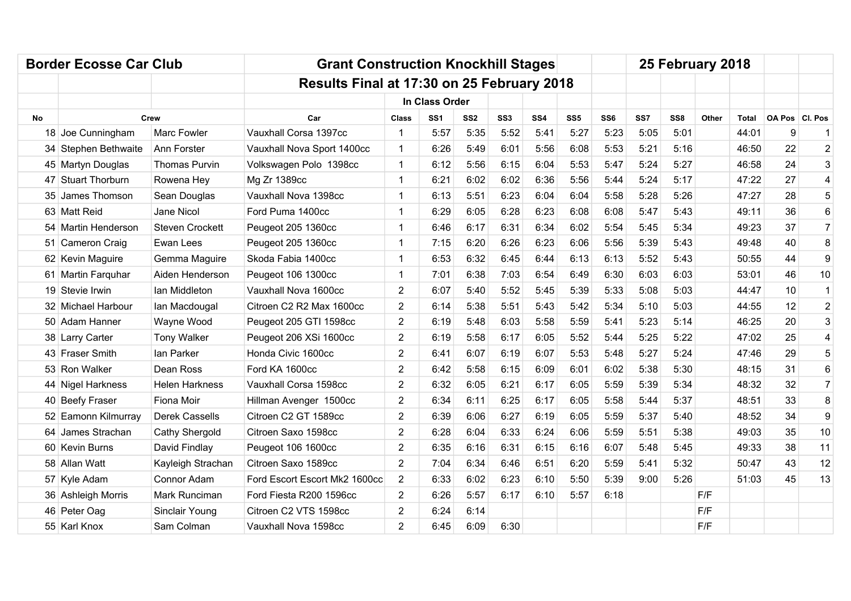|           | <b>Border Ecosse Car Club</b> |                        | <b>Grant Construction Knockhill Stages</b> |                |                 |                 |                 |                 |                 |                 |      |                 | 25 February 2018 |       |                  |                  |
|-----------|-------------------------------|------------------------|--------------------------------------------|----------------|-----------------|-----------------|-----------------|-----------------|-----------------|-----------------|------|-----------------|------------------|-------|------------------|------------------|
|           |                               |                        | Results Final at 17:30 on 25 February 2018 |                |                 |                 |                 |                 |                 |                 |      |                 |                  |       |                  |                  |
|           |                               |                        |                                            |                | In Class Order  |                 |                 |                 |                 |                 |      |                 |                  |       |                  |                  |
| <b>No</b> |                               | Crew                   | Car                                        | <b>Class</b>   | SS <sub>1</sub> | SS <sub>2</sub> | SS <sub>3</sub> | SS <sub>4</sub> | SS <sub>5</sub> | SS <sub>6</sub> | SS7  | SS <sub>8</sub> | Other            | Total | OA Pos   Cl. Pos |                  |
|           | 18 Joe Cunningham             | Marc Fowler            | Vauxhall Corsa 1397cc                      | 1              | 5:57            | 5:35            | 5:52            | 5:41            | 5:27            | 5:23            | 5:05 | 5:01            |                  | 44:01 | 9                | $\mathbf{1}$     |
|           | 34 Stephen Bethwaite          | Ann Forster            | Vauxhall Nova Sport 1400cc                 | 1              | 6:26            | 5:49            | 6:01            | 5:56            | 6:08            | 5:53            | 5:21 | 5:16            |                  | 46:50 | 22               | $\overline{2}$   |
|           | 45 Martyn Douglas             | Thomas Purvin          | Volkswagen Polo 1398cc                     | 1              | 6:12            | 5:56            | 6:15            | 6:04            | 5:53            | 5:47            | 5:24 | 5:27            |                  | 46:58 | 24               | 3                |
|           | 47 Stuart Thorburn            | Rowena Hey             | Mg Zr 1389cc                               | 1              | 6:21            | 6:02            | 6:02            | 6:36            | 5:56            | 5:44            | 5:24 | 5:17            |                  | 47:22 | 27               | 4                |
|           | 35 James Thomson              | Sean Douglas           | Vauxhall Nova 1398cc                       | 1              | 6:13            | 5:51            | 6:23            | 6:04            | 6:04            | 5:58            | 5:28 | 5:26            |                  | 47:27 | 28               | 5                |
|           | 63 Matt Reid                  | Jane Nicol             | Ford Puma 1400cc                           | 1              | 6:29            | 6:05            | 6:28            | 6:23            | 6:08            | 6:08            | 5:47 | 5:43            |                  | 49:11 | 36               | 6                |
|           | 54 Martin Henderson           | <b>Steven Crockett</b> | Peugeot 205 1360cc                         | 1              | 6:46            | 6:17            | 6:31            | 6:34            | 6:02            | 5:54            | 5:45 | 5:34            |                  | 49:23 | 37               | $\overline{7}$   |
|           | 51 Cameron Craig              | Ewan Lees              | Peugeot 205 1360cc                         | 1              | 7:15            | 6:20            | 6:26            | 6:23            | 6:06            | 5:56            | 5:39 | 5:43            |                  | 49:48 | 40               | 8                |
|           | 62 Kevin Maguire              | Gemma Maguire          | Skoda Fabia 1400cc                         | 1              | 6:53            | 6:32            | 6:45            | 6:44            | 6:13            | 6:13            | 5:52 | 5:43            |                  | 50:55 | 44               | 9                |
|           | 61 Martin Farquhar            | Aiden Henderson        | Peugeot 106 1300cc                         | 1              | 7:01            | 6:38            | 7:03            | 6:54            | 6:49            | 6:30            | 6:03 | 6:03            |                  | 53:01 | 46               | 10               |
|           | 19 Stevie Irwin               | lan Middleton          | Vauxhall Nova 1600cc                       | 2              | 6:07            | 5:40            | 5:52            | 5:45            | 5:39            | 5:33            | 5:08 | 5:03            |                  | 44:47 | 10               | $\mathbf{1}$     |
|           | 32 Michael Harbour            | lan Macdougal          | Citroen C2 R2 Max 1600cc                   | $\overline{2}$ | 6:14            | 5:38            | 5:51            | 5:43            | 5:42            | 5:34            | 5:10 | 5:03            |                  | 44:55 | 12               | $\overline{c}$   |
|           | 50 Adam Hanner                | Wayne Wood             | Peugeot 205 GTI 1598cc                     | 2              | 6:19            | 5:48            | 6:03            | 5:58            | 5:59            | 5:41            | 5:23 | 5:14            |                  | 46:25 | 20               | 3                |
|           | 38 Larry Carter               | <b>Tony Walker</b>     | Peugeot 206 XSi 1600cc                     | $\overline{2}$ | 6:19            | 5:58            | 6:17            | 6:05            | 5:52            | 5:44            | 5:25 | 5:22            |                  | 47:02 | 25               | 4                |
|           | 43 Fraser Smith               | lan Parker             | Honda Civic 1600cc                         | 2              | 6:41            | 6:07            | 6:19            | 6:07            | 5:53            | 5:48            | 5:27 | 5:24            |                  | 47:46 | 29               | 5                |
|           | 53 Ron Walker                 | Dean Ross              | Ford KA 1600cc                             | $\overline{2}$ | 6:42            | 5:58            | 6:15            | 6:09            | 6:01            | 6:02            | 5:38 | 5:30            |                  | 48:15 | 31               | 6                |
|           | 44 Nigel Harkness             | <b>Helen Harkness</b>  | Vauxhall Corsa 1598cc                      | $\overline{2}$ | 6:32            | 6:05            | 6:21            | 6:17            | 6:05            | 5:59            | 5:39 | 5:34            |                  | 48:32 | 32               | $\overline{7}$   |
|           | 40 Beefy Fraser               | Fiona Moir             | Hillman Avenger 1500cc                     | $\overline{2}$ | 6:34            | 6:11            | 6:25            | 6:17            | 6:05            | 5:58            | 5:44 | 5:37            |                  | 48:51 | 33               | 8                |
|           | 52 Eamonn Kilmurray           | Derek Cassells         | Citroen C2 GT 1589cc                       | $\overline{2}$ | 6:39            | 6:06            | 6:27            | 6:19            | 6:05            | 5:59            | 5:37 | 5:40            |                  | 48:52 | 34               | $\boldsymbol{9}$ |
|           | 64 James Strachan             | Cathy Shergold         | Citroen Saxo 1598cc                        | $\overline{2}$ | 6:28            | 6:04            | 6:33            | 6:24            | 6:06            | 5:59            | 5:51 | 5:38            |                  | 49:03 | 35               | 10               |
|           | 60 Kevin Burns                | David Findlay          | Peugeot 106 1600cc                         | $\overline{2}$ | 6:35            | 6:16            | 6:31            | 6:15            | 6:16            | 6:07            | 5:48 | 5:45            |                  | 49:33 | 38               | 11               |
|           | 58 Allan Watt                 | Kayleigh Strachan      | Citroen Saxo 1589cc                        | 2              | 7:04            | 6:34            | 6:46            | 6:51            | 6:20            | 5:59            | 5:41 | 5:32            |                  | 50:47 | 43               | 12               |
|           | 57 Kyle Adam                  | Connor Adam            | Ford Escort Escort Mk2 1600cc              | $\overline{2}$ | 6:33            | 6:02            | 6:23            | 6:10            | 5:50            | 5:39            | 9:00 | 5:26            |                  | 51:03 | 45               | 13               |
|           | 36 Ashleigh Morris            | Mark Runciman          | Ford Fiesta R200 1596cc                    | 2              | 6:26            | 5:57            | 6:17            | 6:10            | 5:57            | 6:18            |      |                 | F/F              |       |                  |                  |
|           | 46 Peter Oag                  | Sinclair Young         | Citroen C2 VTS 1598cc                      | $\overline{2}$ | 6:24            | 6:14            |                 |                 |                 |                 |      |                 | F/F              |       |                  |                  |
|           | 55 Karl Knox                  | Sam Colman             | Vauxhall Nova 1598cc                       | $\overline{2}$ | 6:45            | 6:09            | 6:30            |                 |                 |                 |      |                 | F/F              |       |                  |                  |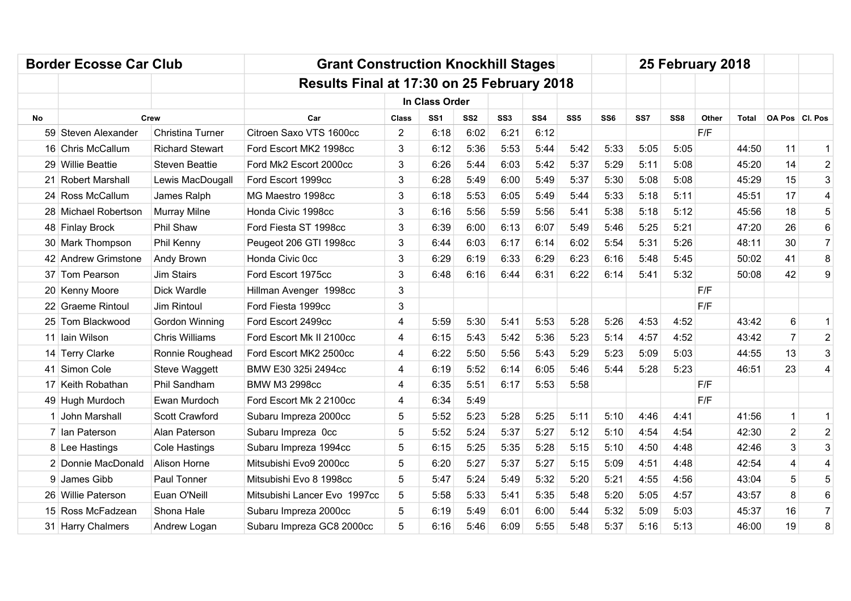|           | <b>Border Ecosse Car Club</b> |                        | <b>Grant Construction Knockhill Stages</b> |              |                 |                 |                 |                 |                 |                 |      |                 | 25 February 2018 |       |                         |                |
|-----------|-------------------------------|------------------------|--------------------------------------------|--------------|-----------------|-----------------|-----------------|-----------------|-----------------|-----------------|------|-----------------|------------------|-------|-------------------------|----------------|
|           |                               |                        | Results Final at 17:30 on 25 February 2018 |              |                 |                 |                 |                 |                 |                 |      |                 |                  |       |                         |                |
|           |                               |                        |                                            |              | In Class Order  |                 |                 |                 |                 |                 |      |                 |                  |       |                         |                |
| <b>No</b> |                               | Crew                   | Car                                        | <b>Class</b> | SS <sub>1</sub> | SS <sub>2</sub> | SS <sub>3</sub> | SS <sub>4</sub> | SS <sub>5</sub> | SS <sub>6</sub> | SS7  | SS <sub>8</sub> | Other            | Total | OA Pos   Cl. Pos        |                |
|           | 59 Steven Alexander           | Christina Turner       | Citroen Saxo VTS 1600cc                    | 2            | 6:18            | 6:02            | 6:21            | 6:12            |                 |                 |      |                 | F/F              |       |                         |                |
|           | 16 Chris McCallum             | <b>Richard Stewart</b> | Ford Escort MK2 1998cc                     | 3            | 6:12            | 5:36            | 5:53            | 5:44            | 5:42            | 5:33            | 5:05 | 5:05            |                  | 44:50 | 11                      | $\mathbf{1}$   |
|           | 29 Willie Beattie             | <b>Steven Beattie</b>  | Ford Mk2 Escort 2000cc                     | 3            | 6:26            | 5:44            | 6:03            | 5:42            | 5:37            | 5:29            | 5:11 | 5:08            |                  | 45:20 | 14                      | $\overline{c}$ |
|           | 21 Robert Marshall            | Lewis MacDougall       | Ford Escort 1999cc                         | 3            | 6:28            | 5:49            | 6:00            | 5:49            | 5:37            | 5:30            | 5:08 | 5:08            |                  | 45:29 | 15                      | 3              |
|           | 24 Ross McCallum              | James Ralph            | MG Maestro 1998cc                          | 3            | 6:18            | 5:53            | 6:05            | 5:49            | 5:44            | 5:33            | 5:18 | 5:11            |                  | 45:51 | 17                      | 4              |
|           | 28 Michael Robertson          | <b>Murray Milne</b>    | Honda Civic 1998cc                         | 3            | 6:16            | 5:56            | 5:59            | 5:56            | 5:41            | 5:38            | 5:18 | 5:12            |                  | 45:56 | 18                      | 5              |
|           | 48 Finlay Brock               | Phil Shaw              | Ford Fiesta ST 1998cc                      | 3            | 6:39            | 6:00            | 6:13            | 6:07            | 5:49            | 5:46            | 5:25 | 5:21            |                  | 47:20 | 26                      | 6              |
|           | 30 Mark Thompson              | Phil Kenny             | Peugeot 206 GTI 1998cc                     | 3            | 6:44            | 6:03            | 6:17            | 6:14            | 6:02            | 5:54            | 5:31 | 5:26            |                  | 48:11 | 30                      | $\overline{7}$ |
|           | 42 Andrew Grimstone           | Andy Brown             | Honda Civic 0cc                            | 3            | 6:29            | 6:19            | 6:33            | 6:29            | 6:23            | 6:16            | 5:48 | 5:45            |                  | 50:02 | 41                      | 8              |
|           | 37 Tom Pearson                | <b>Jim Stairs</b>      | Ford Escort 1975cc                         | 3            | 6:48            | 6:16            | 6:44            | 6:31            | 6:22            | 6:14            | 5:41 | 5:32            |                  | 50:08 | 42                      | 9              |
|           | 20 Kenny Moore                | <b>Dick Wardle</b>     | Hillman Avenger 1998cc                     | 3            |                 |                 |                 |                 |                 |                 |      |                 | F/F              |       |                         |                |
|           | 22 Graeme Rintoul             | Jim Rintoul            | Ford Fiesta 1999cc                         | 3            |                 |                 |                 |                 |                 |                 |      |                 | F/F              |       |                         |                |
|           | 25 Tom Blackwood              | Gordon Winning         | Ford Escort 2499cc                         | 4            | 5:59            | 5:30            | 5:41            | 5:53            | 5:28            | 5:26            | 4:53 | 4:52            |                  | 43:42 | 6                       | $\mathbf{1}$   |
|           | 11 Iain Wilson                | <b>Chris Williams</b>  | Ford Escort Mk II 2100cc                   | 4            | 6:15            | 5:43            | 5:42            | 5:36            | 5:23            | 5:14            | 4:57 | 4:52            |                  | 43:42 | $\overline{7}$          | $\overline{2}$ |
|           | 14 Terry Clarke               | Ronnie Roughead        | Ford Escort MK2 2500cc                     | 4            | 6:22            | 5:50            | 5:56            | 5:43            | 5:29            | 5:23            | 5:09 | 5:03            |                  | 44:55 | 13                      | 3              |
|           | 41 Simon Cole                 | Steve Waggett          | BMW E30 325i 2494cc                        | 4            | 6:19            | 5:52            | 6:14            | 6:05            | 5:46            | 5:44            | 5:28 | 5:23            |                  | 46:51 | 23                      | 4              |
|           | 17 Keith Robathan             | Phil Sandham           | <b>BMW M3 2998cc</b>                       | 4            | 6:35            | 5:51            | 6:17            | 5:53            | 5:58            |                 |      |                 | F/F              |       |                         |                |
|           | 49 Hugh Murdoch               | Ewan Murdoch           | Ford Escort Mk 2 2100cc                    | 4            | 6:34            | 5:49            |                 |                 |                 |                 |      |                 | F/F              |       |                         |                |
|           | 1 John Marshall               | Scott Crawford         | Subaru Impreza 2000cc                      | 5            | 5:52            | 5:23            | 5:28            | 5:25            | 5:11            | 5:10            | 4:46 | 4:41            |                  | 41:56 | $\mathbf{1}$            | $\mathbf{1}$   |
|           | 7 Ian Paterson                | Alan Paterson          | Subaru Impreza Occ                         | 5            | 5:52            | 5:24            | 5:37            | 5:27            | 5:12            | 5:10            | 4:54 | 4:54            |                  | 42:30 | $\overline{2}$          | $\overline{2}$ |
|           | 8 Lee Hastings                | <b>Cole Hastings</b>   | Subaru Impreza 1994cc                      | 5            | 6:15            | 5:25            | 5:35            | 5:28            | 5:15            | 5:10            | 4:50 | 4:48            |                  | 42:46 | 3                       | 3              |
|           | 2 Donnie MacDonald            | Alison Horne           | Mitsubishi Evo9 2000cc                     | 5            | 6:20            | 5:27            | 5:37            | 5:27            | 5:15            | 5:09            | 4:51 | 4:48            |                  | 42:54 | $\overline{\mathbf{4}}$ | 4              |
|           | 9 James Gibb                  | Paul Tonner            | Mitsubishi Evo 8 1998cc                    | 5            | 5:47            | 5:24            | 5:49            | 5:32            | 5:20            | 5:21            | 4:55 | 4:56            |                  | 43:04 | 5                       | 5              |
|           | 26 Willie Paterson            | Euan O'Neill           | Mitsubishi Lancer Evo 1997cc               | 5            | 5:58            | 5:33            | 5:41            | 5:35            | 5:48            | 5:20            | 5:05 | 4:57            |                  | 43:57 | 8                       | 6              |
|           | 15 Ross McFadzean             | Shona Hale             | Subaru Impreza 2000cc                      | 5            | 6:19            | 5:49            | 6:01            | 6:00            | 5:44            | 5:32            | 5:09 | 5:03            |                  | 45:37 | 16                      | $\overline{7}$ |
|           | 31 Harry Chalmers             | Andrew Logan           | Subaru Impreza GC8 2000cc                  | 5            | 6:16            | 5:46            | 6:09            | 5:55            | 5:48            | 5:37            | 5:16 | 5:13            |                  | 46:00 | 19                      | 8              |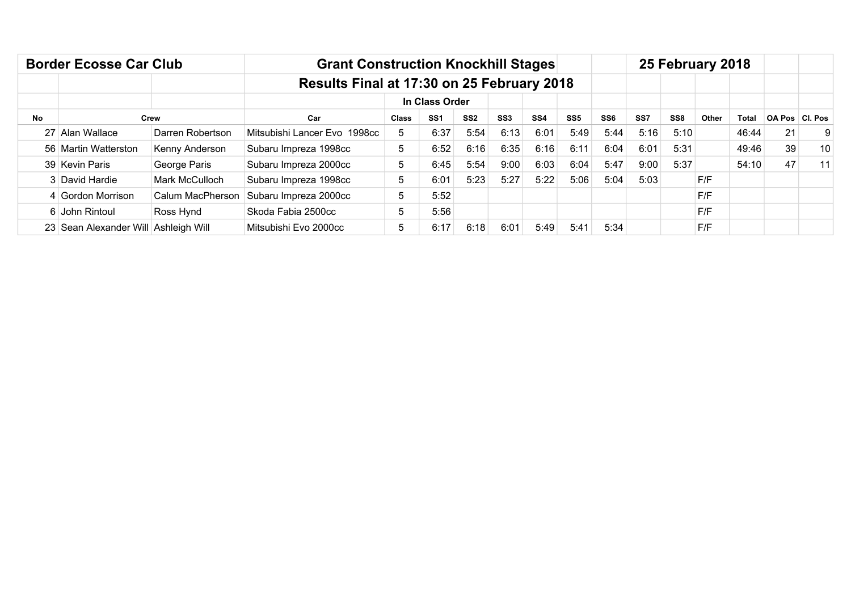|           | <b>Border Ecosse Car Club</b>        |                  | <b>Grant Construction Knockhill Stages</b> |              |                 |                 |                 |                 |                 |                 |      |                 | 25 February 2018 |       |               |                |
|-----------|--------------------------------------|------------------|--------------------------------------------|--------------|-----------------|-----------------|-----------------|-----------------|-----------------|-----------------|------|-----------------|------------------|-------|---------------|----------------|
|           |                                      |                  | Results Final at 17:30 on 25 February 2018 |              |                 |                 |                 |                 |                 |                 |      |                 |                  |       |               |                |
|           |                                      |                  |                                            |              | In Class Order  |                 |                 |                 |                 |                 |      |                 |                  |       |               |                |
| <b>No</b> |                                      | Crew             | Car                                        | <b>Class</b> | SS <sub>1</sub> | SS <sub>2</sub> | SS <sub>3</sub> | SS <sub>4</sub> | SS <sub>5</sub> | SS <sub>6</sub> | SS7  | SS <sub>8</sub> | Other            | Total | <b>OA Pos</b> | <b>CI. Pos</b> |
|           | 27 Alan Wallace                      | Darren Robertson | Mitsubishi Lancer Evo 1998cc               | 5            | 6:37            | 5:54            | 6:13            | 6:01            | 5:49            | 5:44            | 5:16 | 5:10            |                  | 46:44 | 21            | 9              |
|           | 56 Martin Watterston                 | Kenny Anderson   | Subaru Impreza 1998cc                      | 5            | 6:52            | 6:16            | 6:35            | 6:16            | 6:11            | 6:04            | 6:01 | 5:31            |                  | 49:46 | 39            | 10             |
|           | 39 Kevin Paris                       | George Paris     | Subaru Impreza 2000cc                      | 5            | 6:45            | 5:54            | 9:00            | 6:03            | 6:04            | 5:47            | 9:00 | 5:37            |                  | 54:10 | 47            | 11             |
|           | 3 David Hardie                       | Mark McCulloch   | Subaru Impreza 1998cc                      | 5            | 6:01            | 5:23            | 5:27            | 5:22            | 5:06            | 5:04            | 5:03 |                 | F/F              |       |               |                |
|           | 4 Gordon Morrison                    | Calum MacPherson | Subaru Impreza 2000cc                      | 5            | 5:52            |                 |                 |                 |                 |                 |      |                 | F/F              |       |               |                |
|           | 6 John Rintoul                       | Ross Hynd        | Skoda Fabia 2500cc                         | 5            | 5:56            |                 |                 |                 |                 |                 |      |                 | F/F              |       |               |                |
|           | 23 Sean Alexander Will Ashleigh Will |                  | Mitsubishi Evo 2000cc                      | 5            | 6:17            | 6:18            | 6:01            | 5:49            | 5:41            | 5:34            |      |                 | F/F              |       |               |                |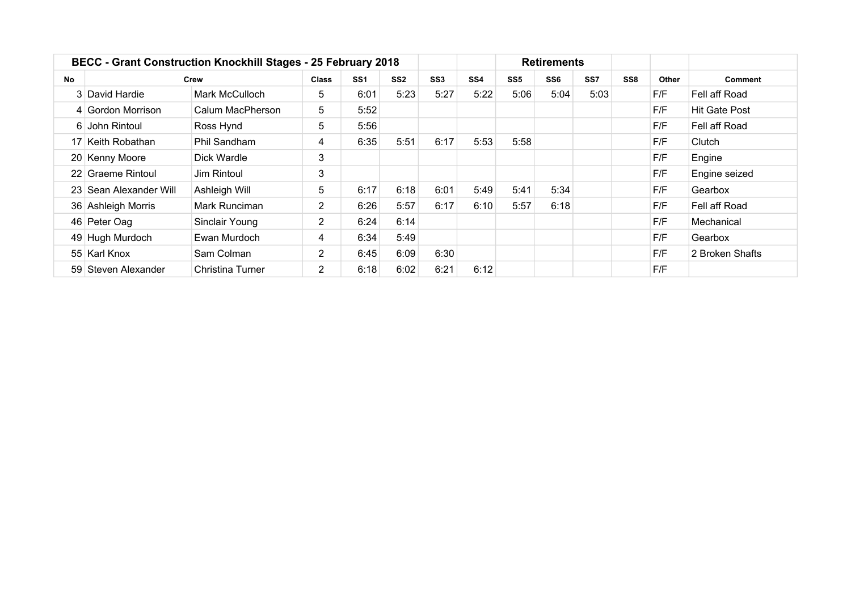|           |                        | <b>BECC - Grant Construction Knockhill Stages - 25 February 2018</b> |                |                 |                 |                 |                 |                 | <b>Retirements</b> |      |                 |       |                 |
|-----------|------------------------|----------------------------------------------------------------------|----------------|-----------------|-----------------|-----------------|-----------------|-----------------|--------------------|------|-----------------|-------|-----------------|
| <b>No</b> |                        | Crew                                                                 | <b>Class</b>   | SS <sub>1</sub> | SS <sub>2</sub> | SS <sub>3</sub> | SS <sub>4</sub> | SS <sub>5</sub> | SS <sub>6</sub>    | SS7  | SS <sub>8</sub> | Other | Comment         |
|           | 3 David Hardie         | Mark McCulloch                                                       | 5.             | 6:01            | 5:23            | 5:27            | 5:22            | 5:06            | 5:04               | 5:03 |                 | F/F   | Fell aff Road   |
|           | 4 Gordon Morrison      | Calum MacPherson                                                     | 5              | 5:52            |                 |                 |                 |                 |                    |      |                 | F/F   | Hit Gate Post   |
|           | 6 John Rintoul         | Ross Hynd                                                            | 5              | 5:56            |                 |                 |                 |                 |                    |      |                 | F/F   | Fell aff Road   |
|           | 17 Keith Robathan      | Phil Sandham                                                         | 4              | 6:35            | 5:51            | 6:17            | 5:53            | 5:58            |                    |      |                 | F/F   | Clutch          |
|           | 20 Kenny Moore         | Dick Wardle                                                          | 3              |                 |                 |                 |                 |                 |                    |      |                 | F/F   | Engine          |
|           | 22 Graeme Rintoul      | Jim Rintoul                                                          | 3              |                 |                 |                 |                 |                 |                    |      |                 | F/F   | Engine seized   |
|           | 23 Sean Alexander Will | Ashleigh Will                                                        | 5              | 6:17            | 6:18            | 6:01            | 5:49            | 5:41            | 5:34               |      |                 | F/F   | Gearbox         |
|           | 36 Ashleigh Morris     | Mark Runciman                                                        | $\overline{2}$ | 6:26            | 5:57            | 6:17            | 6:10            | 5:57            | 6:18               |      |                 | F/F   | Fell aff Road   |
|           | 46 Peter Oag           | Sinclair Young                                                       | $\overline{2}$ | 6:24            | 6:14            |                 |                 |                 |                    |      |                 | F/F   | Mechanical      |
|           | 49 Hugh Murdoch        | Ewan Murdoch                                                         | 4              | 6:34            | 5:49            |                 |                 |                 |                    |      |                 | F/F   | Gearbox         |
|           | 55 Karl Knox           | Sam Colman                                                           | $\overline{2}$ | 6:45            | 6:09            | 6:30            |                 |                 |                    |      |                 | F/F   | 2 Broken Shafts |
|           | 59 Steven Alexander    | <b>Christina Turner</b>                                              | 2              | 6:18            | 6:02            | 6:21            | 6:12            |                 |                    |      |                 | F/F   |                 |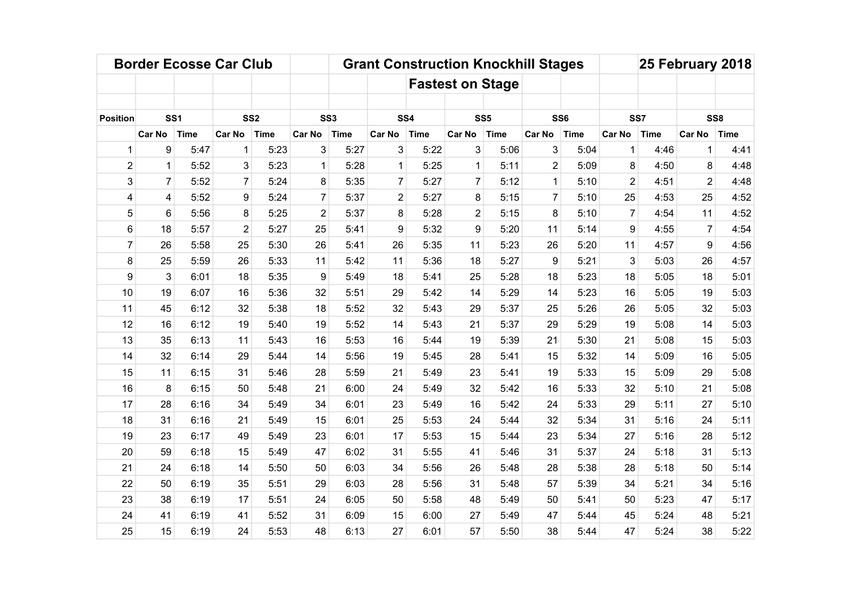|                 |                 | <b>Border Ecosse Car Club</b> |                |                 |                 |      |                |             |                         |                 | <b>Grant Construction Knockhill Stages</b> |             |                |             | 25 February 2018 |             |
|-----------------|-----------------|-------------------------------|----------------|-----------------|-----------------|------|----------------|-------------|-------------------------|-----------------|--------------------------------------------|-------------|----------------|-------------|------------------|-------------|
|                 |                 |                               |                |                 |                 |      |                |             | <b>Fastest on Stage</b> |                 |                                            |             |                |             |                  |             |
|                 |                 |                               |                |                 |                 |      |                |             |                         |                 |                                            |             |                |             |                  |             |
| <b>Position</b> | SS <sub>1</sub> |                               |                | SS <sub>2</sub> | SS <sub>3</sub> |      | SS4            |             |                         | SS <sub>5</sub> | SS <sub>6</sub>                            |             |                | SS7         | SS <sub>8</sub>  |             |
|                 | <b>Car No</b>   | <b>Time</b>                   | <b>Car No</b>  | <b>Time</b>     | <b>Car No</b>   | Time | Car No         | <b>Time</b> | <b>Car No</b>           | <b>Time</b>     | <b>Car No</b>                              | <b>Time</b> | <b>Car No</b>  | <b>Time</b> | Car No           | <b>Time</b> |
| $\mathbf 1$     | 9               | 5:47                          | $\mathbf{1}$   | 5:23            | 3               | 5:27 | 3              | 5:22        | 3                       | 5:06            | 3                                          | 5:04        | 1              | 4:46        | 1                | 4:41        |
| $\overline{2}$  | 1               | 5:52                          | 3              | 5:23            | 1               | 5:28 | $\mathbf{1}$   | 5:25        | 1                       | 5:11            | $\overline{2}$                             | 5:09        | 8              | 4:50        | 8                | 4:48        |
| 3               | $\overline{7}$  | 5:52                          | $\overline{7}$ | 5:24            | 8               | 5:35 | $\overline{7}$ | 5:27        | $\overline{7}$          | 5:12            | 1                                          | 5:10        | $\overline{2}$ | 4:51        | $\overline{2}$   | 4:48        |
| 4               | 4               | 5:52                          | 9              | 5:24            | $\overline{7}$  | 5:37 | $\overline{2}$ | 5:27        | 8                       | 5:15            | $\overline{7}$                             | 5:10        | 25             | 4:53        | 25               | 4:52        |
| 5               | 6               | 5:56                          | 8              | 5:25            | $\overline{2}$  | 5:37 | 8              | 5:28        | $\overline{2}$          | 5:15            | 8                                          | 5:10        | $\overline{7}$ | 4:54        | 11               | 4:52        |
| 6               | 18              | 5:57                          | $\overline{2}$ | 5:27            | 25              | 5:41 | 9              | 5:32        | 9                       | 5:20            | 11                                         | 5:14        | 9              | 4:55        | $\overline{7}$   | 4:54        |
| $\overline{7}$  | 26              | 5:58                          | 25             | 5:30            | 26              | 5:41 | 26             | 5:35        | 11                      | 5:23            | 26                                         | 5:20        | 11             | 4:57        | 9                | 4:56        |
| 8               | 25              | 5:59                          | 26             | 5:33            | 11              | 5:42 | 11             | 5:36        | 18                      | 5:27            | 9                                          | 5:21        | 3              | 5:03        | 26               | 4:57        |
| 9               | 3               | 6:01                          | 18             | 5:35            | 9               | 5:49 | 18             | 5:41        | 25                      | 5:28            | 18                                         | 5:23        | 18             | 5:05        | 18               | 5:01        |
| 10              | 19              | 6:07                          | 16             | 5:36            | 32              | 5:51 | 29             | 5:42        | 14                      | 5:29            | 14                                         | 5:23        | 16             | 5:05        | 19               | 5:03        |
| 11              | 45              | 6:12                          | 32             | 5:38            | 18              | 5:52 | 32             | 5:43        | 29                      | 5:37            | 25                                         | 5:26        | 26             | 5:05        | 32               | 5:03        |
| 12              | 16              | 6:12                          | 19             | 5:40            | 19              | 5:52 | 14             | 5:43        | 21                      | 5:37            | 29                                         | 5:29        | 19             | 5:08        | 14               | 5:03        |
| 13              | 35              | 6:13                          | 11             | 5:43            | 16              | 5:53 | 16             | 5:44        | 19                      | 5:39            | 21                                         | 5:30        | 21             | 5:08        | 15               | 5:03        |
| 14              | 32              | 6:14                          | 29             | 5:44            | 14              | 5:56 | 19             | 5:45        | 28                      | 5:41            | 15                                         | 5:32        | 14             | 5:09        | 16               | 5:05        |
| 15              | 11              | 6:15                          | 31             | 5:46            | 28              | 5:59 | 21             | 5:49        | 23                      | 5:41            | 19                                         | 5:33        | 15             | 5:09        | 29               | 5:08        |
| 16              | 8               | 6:15                          | 50             | 5:48            | 21              | 6:00 | 24             | 5:49        | 32                      | 5:42            | 16                                         | 5:33        | 32             | 5:10        | 21               | 5:08        |
| 17              | 28              | 6:16                          | 34             | 5:49            | 34              | 6:01 | 23             | 5:49        | 16                      | 5:42            | 24                                         | 5:33        | 29             | 5:11        | 27               | 5:10        |
| 18              | 31              | 6:16                          | 21             | 5:49            | 15              | 6:01 | 25             | 5:53        | 24                      | 5:44            | 32                                         | 5:34        | 31             | 5:16        | 24               | 5:11        |
| 19              | 23              | 6:17                          | 49             | 5:49            | 23              | 6:01 | 17             | 5:53        | 15                      | 5:44            | 23                                         | 5:34        | 27             | 5:16        | 28               | 5:12        |
| 20              | 59              | 6:18                          | 15             | 5:49            | 47              | 6:02 | 31             | 5:55        | 41                      | 5:46            | 31                                         | 5:37        | 24             | 5:18        | 31               | 5:13        |
| 21              | 24              | 6:18                          | 14             | 5:50            | 50              | 6:03 | 34             | 5:56        | 26                      | 5:48            | 28                                         | 5:38        | 28             | 5:18        | 50               | 5:14        |
| 22              | 50              | 6:19                          | 35             | 5:51            | 29              | 6:03 | 28             | 5:56        | 31                      | 5:48            | 57                                         | 5:39        | 34             | 5:21        | 34               | 5:16        |
| 23              | 38              | 6:19                          | 17             | 5:51            | 24              | 6:05 | 50             | 5:58        | 48                      | 5:49            | 50                                         | 5:41        | 50             | 5:23        | 47               | 5:17        |
| 24              | 41              | 6:19                          | 41             | 5:52            | 31              | 6:09 | 15             | 6:00        | 27                      | 5:49            | 47                                         | 5:44        | 45             | 5:24        | 48               | 5:21        |
| 25              | 15              | 6:19                          | 24             | 5:53            | 48              | 6:13 | 27             | 6:01        | 57                      | 5:50            | 38                                         | 5:44        | 47             | 5:24        | 38               | 5:22        |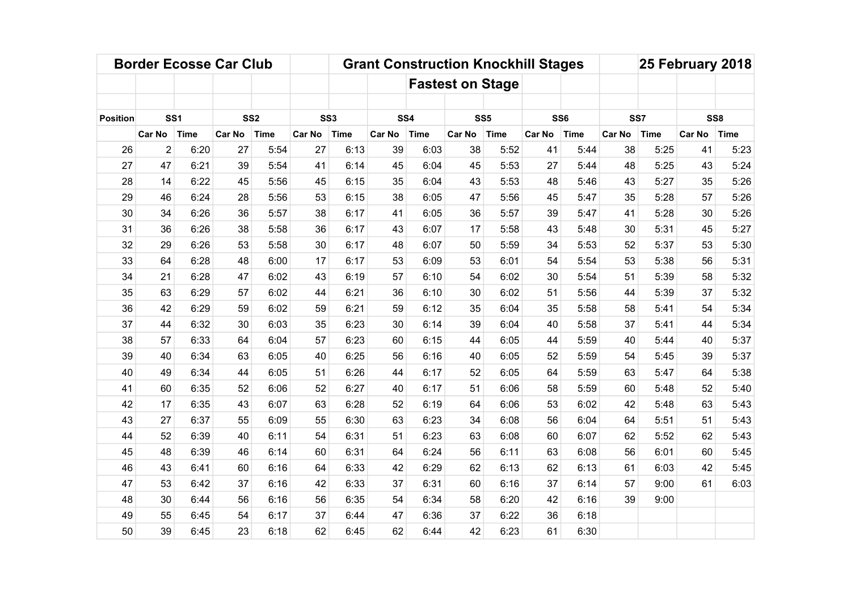|                 |                | <b>Border Ecosse Car Club</b> |               |                 |                 |             |               |             |                         |                 | <b>Grant Construction Knockhill Stages</b> |             |               |             | 25 February 2018 |             |
|-----------------|----------------|-------------------------------|---------------|-----------------|-----------------|-------------|---------------|-------------|-------------------------|-----------------|--------------------------------------------|-------------|---------------|-------------|------------------|-------------|
|                 |                |                               |               |                 |                 |             |               |             | <b>Fastest on Stage</b> |                 |                                            |             |               |             |                  |             |
|                 |                |                               |               |                 |                 |             |               |             |                         |                 |                                            |             |               |             |                  |             |
| <b>Position</b> |                | SS <sub>1</sub>               |               | SS <sub>2</sub> | SS <sub>3</sub> |             | SS4           |             |                         | SS <sub>5</sub> | SS <sub>6</sub>                            |             |               | SS7         | SS <sub>8</sub>  |             |
|                 | <b>Car No</b>  | <b>Time</b>                   | <b>Car No</b> | Time            | <b>Car No</b>   | <b>Time</b> | <b>Car No</b> | <b>Time</b> | <b>Car No</b>           | <b>Time</b>     | <b>Car No</b>                              | <b>Time</b> | <b>Car No</b> | <b>Time</b> | <b>Car No</b>    | <b>Time</b> |
| 26              | $\overline{2}$ | 6:20                          | 27            | 5:54            | 27              | 6:13        | 39            | 6:03        | 38                      | 5:52            | 41                                         | 5:44        | 38            | 5:25        | 41               | 5:23        |
| 27              | 47             | 6:21                          | 39            | 5:54            | 41              | 6:14        | 45            | 6:04        | 45                      | 5:53            | 27                                         | 5:44        | 48            | 5:25        | 43               | 5:24        |
| 28              | 14             | 6:22                          | 45            | 5:56            | 45              | 6:15        | 35            | 6:04        | 43                      | 5:53            | 48                                         | 5:46        | 43            | 5:27        | 35               | 5:26        |
| 29              | 46             | 6:24                          | 28            | 5:56            | 53              | 6:15        | 38            | 6:05        | 47                      | 5:56            | 45                                         | 5:47        | 35            | 5:28        | 57               | 5:26        |
| 30              | 34             | 6:26                          | 36            | 5:57            | 38              | 6:17        | 41            | 6:05        | 36                      | 5:57            | 39                                         | 5:47        | 41            | 5:28        | 30               | 5:26        |
| 31              | 36             | 6:26                          | 38            | 5:58            | 36              | 6:17        | 43            | 6:07        | 17                      | 5:58            | 43                                         | 5:48        | 30            | 5:31        | 45               | 5:27        |
| 32              | 29             | 6:26                          | 53            | 5:58            | 30              | 6:17        | 48            | 6:07        | 50                      | 5:59            | 34                                         | 5:53        | 52            | 5:37        | 53               | 5:30        |
| 33              | 64             | 6:28                          | 48            | 6:00            | 17              | 6:17        | 53            | 6:09        | 53                      | 6:01            | 54                                         | 5:54        | 53            | 5:38        | 56               | 5:31        |
| 34              | 21             | 6:28                          | 47            | 6:02            | 43              | 6:19        | 57            | 6:10        | 54                      | 6:02            | 30                                         | 5:54        | 51            | 5:39        | 58               | 5:32        |
| 35              | 63             | 6:29                          | 57            | 6:02            | 44              | 6:21        | 36            | 6:10        | 30                      | 6:02            | 51                                         | 5:56        | 44            | 5:39        | 37               | 5:32        |
| 36              | 42             | 6:29                          | 59            | 6:02            | 59              | 6:21        | 59            | 6:12        | 35                      | 6:04            | 35                                         | 5:58        | 58            | 5:41        | 54               | 5:34        |
| 37              | 44             | 6:32                          | 30            | 6:03            | 35              | 6:23        | 30            | 6:14        | 39                      | 6:04            | 40                                         | 5:58        | 37            | 5:41        | 44               | 5:34        |
| 38              | 57             | 6:33                          | 64            | 6:04            | 57              | 6:23        | 60            | 6:15        | 44                      | 6:05            | 44                                         | 5:59        | 40            | 5:44        | 40               | 5:37        |
| 39              | 40             | 6:34                          | 63            | 6:05            | 40              | 6:25        | 56            | 6:16        | 40                      | 6:05            | 52                                         | 5:59        | 54            | 5:45        | 39               | 5:37        |
| 40              | 49             | 6:34                          | 44            | 6:05            | 51              | 6:26        | 44            | 6:17        | 52                      | 6:05            | 64                                         | 5:59        | 63            | 5:47        | 64               | 5:38        |
| 41              | 60             | 6:35                          | 52            | 6:06            | 52              | 6:27        | 40            | 6:17        | 51                      | 6:06            | 58                                         | 5:59        | 60            | 5:48        | 52               | 5:40        |
| 42              | 17             | 6:35                          | 43            | 6:07            | 63              | 6:28        | 52            | 6:19        | 64                      | 6:06            | 53                                         | 6:02        | 42            | 5:48        | 63               | 5:43        |
| 43              | 27             | 6:37                          | 55            | 6:09            | 55              | 6:30        | 63            | 6:23        | 34                      | 6:08            | 56                                         | 6:04        | 64            | 5:51        | 51               | 5:43        |
| 44              | 52             | 6:39                          | 40            | 6:11            | 54              | 6:31        | 51            | 6:23        | 63                      | 6:08            | 60                                         | 6:07        | 62            | 5:52        | 62               | 5:43        |
| 45              | 48             | 6:39                          | 46            | 6:14            | 60              | 6:31        | 64            | 6:24        | 56                      | 6:11            | 63                                         | 6:08        | 56            | 6:01        | 60               | 5:45        |
| 46              | 43             | 6:41                          | 60            | 6:16            | 64              | 6:33        | 42            | 6:29        | 62                      | 6:13            | 62                                         | 6:13        | 61            | 6:03        | 42               | 5:45        |
| 47              | 53             | 6:42                          | 37            | 6:16            | 42              | 6:33        | 37            | 6:31        | 60                      | 6:16            | 37                                         | 6:14        | 57            | 9:00        | 61               | 6:03        |
| 48              | 30             | 6:44                          | 56            | 6:16            | 56              | 6:35        | 54            | 6:34        | 58                      | 6:20            | 42                                         | 6:16        | 39            | 9:00        |                  |             |
| 49              | 55             | 6:45                          | 54            | 6:17            | 37              | 6:44        | 47            | 6:36        | 37                      | 6:22            | 36                                         | 6:18        |               |             |                  |             |
| 50              | 39             | 6:45                          | 23            | 6:18            | 62              | 6:45        | 62            | 6:44        | 42                      | 6:23            | 61                                         | 6:30        |               |             |                  |             |